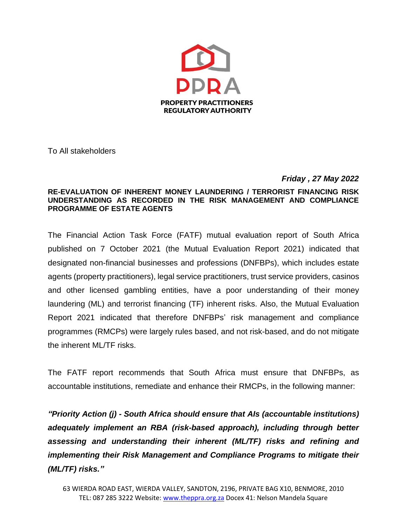

To All stakeholders

## *Friday , 27 May 2022*

## **RE-EVALUATION OF INHERENT MONEY LAUNDERING / TERRORIST FINANCING RISK UNDERSTANDING AS RECORDED IN THE RISK MANAGEMENT AND COMPLIANCE PROGRAMME OF ESTATE AGENTS**

The Financial Action Task Force (FATF) mutual evaluation report of South Africa published on 7 October 2021 (the Mutual Evaluation Report 2021) indicated that designated non-financial businesses and professions (DNFBPs), which includes estate agents (property practitioners), legal service practitioners, trust service providers, casinos and other licensed gambling entities, have a poor understanding of their money laundering (ML) and terrorist financing (TF) inherent risks. Also, the Mutual Evaluation Report 2021 indicated that therefore DNFBPs' risk management and compliance programmes (RMCPs) were largely rules based, and not risk-based, and do not mitigate the inherent ML/TF risks.

The FATF report recommends that South Africa must ensure that DNFBPs, as accountable institutions, remediate and enhance their RMCPs, in the following manner:

*"Priority Action (j) - South Africa should ensure that AIs (accountable institutions) adequately implement an RBA (risk-based approach), including through better assessing and understanding their inherent (ML/TF) risks and refining and implementing their Risk Management and Compliance Programs to mitigate their (ML/TF) risks."*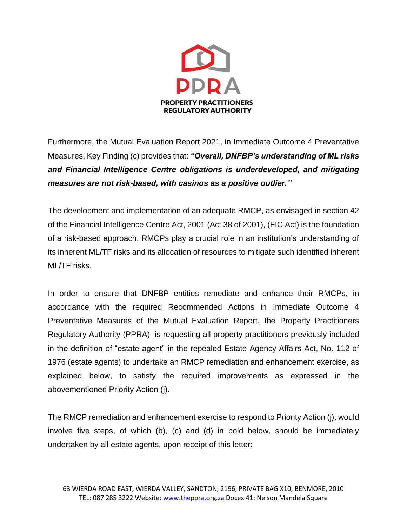

Furthermore, the Mutual Evaluation Report 2021, in Immediate Outcome 4 Preventative Measures, Key Finding (c) provides that: *"Overall, DNFBP's understanding of ML risks and Financial Intelligence Centre obligations is underdeveloped, and mitigating measures are not risk-based, with casinos as a positive outlier."*

The development and implementation of an adequate RMCP, as envisaged in section 42 of the Financial Intelligence Centre Act, 2001 (Act 38 of 2001), (FIC Act) is the foundation of a risk-based approach. RMCPs play a crucial role in an institution's understanding of its inherent ML/TF risks and its allocation of resources to mitigate such identified inherent ML/TF risks.

In order to ensure that DNFBP entities remediate and enhance their RMCPs, in accordance with the required Recommended Actions in Immediate Outcome 4 Preventative Measures of the Mutual Evaluation Report, the Property Practitioners Regulatory Authority (PPRA) is requesting all property practitioners previously included in the definition of "estate agent" in the repealed Estate Agency Affairs Act, No. 112 of 1976 (estate agents) to undertake an RMCP remediation and enhancement exercise, as explained below, to satisfy the required improvements as expressed in the abovementioned Priority Action (j).

The RMCP remediation and enhancement exercise to respond to Priority Action (j), would involve five steps, of which (b), (c) and (d) in bold below, should be immediately undertaken by all estate agents, upon receipt of this letter: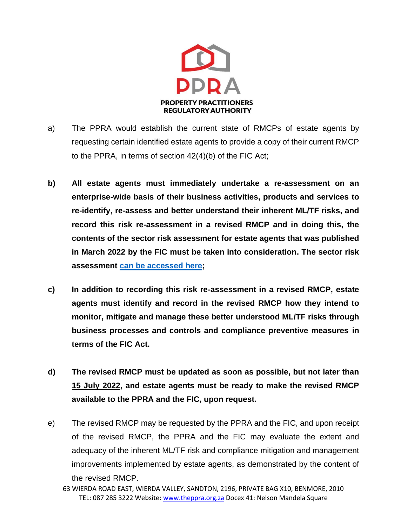

- a) The PPRA would establish the current state of RMCPs of estate agents by requesting certain identified estate agents to provide a copy of their current RMCP to the PPRA, in terms of section 42(4)(b) of the FIC Act;
- **b) All estate agents must immediately undertake a re-assessment on an enterprise-wide basis of their business activities, products and services to re-identify, re-assess and better understand their inherent ML/TF risks, and record this risk re-assessment in a revised RMCP and in doing this, the contents of the sector risk assessment for estate agents that was published in March 2022 by the FIC must be taken into consideration. The sector risk assessment [can be accessed here;](http://www.fic.gov.za/Documents/Estate%20Agents%20Sector%20Risk%20Assessment%20Report%20FINAL.pdf)**
- **c) In addition to recording this risk re-assessment in a revised RMCP, estate agents must identify and record in the revised RMCP how they intend to monitor, mitigate and manage these better understood ML/TF risks through business processes and controls and compliance preventive measures in terms of the FIC Act.**
- **d) The revised RMCP must be updated as soon as possible, but not later than 15 July 2022, and estate agents must be ready to make the revised RMCP available to the PPRA and the FIC, upon request.**
- e) The revised RMCP may be requested by the PPRA and the FIC, and upon receipt of the revised RMCP, the PPRA and the FIC may evaluate the extent and adequacy of the inherent ML/TF risk and compliance mitigation and management improvements implemented by estate agents, as demonstrated by the content of the revised RMCP.